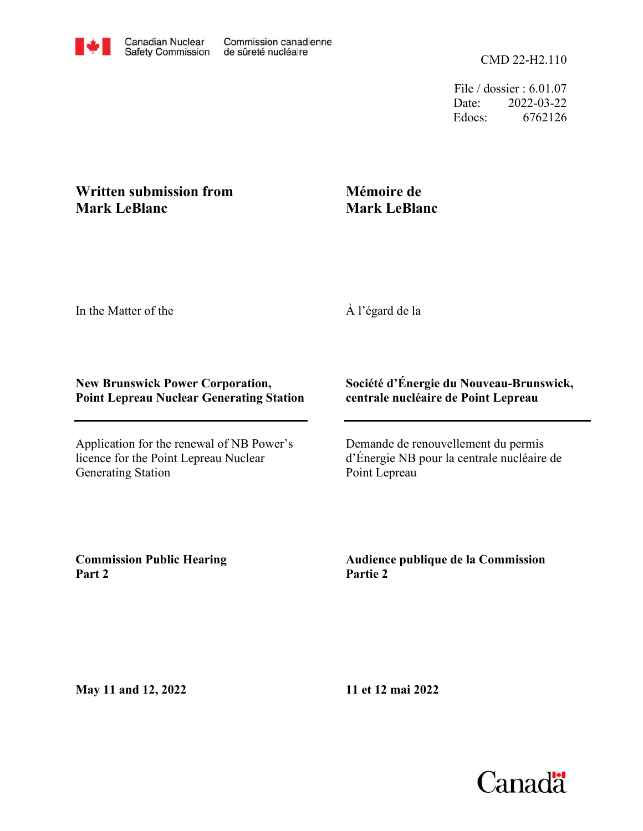

File / dossier : 6.01.07 Date: 2022-03-22 Edocs: 6762126

## **Written submission from Mark LeBlanc**

# **Mémoire de Mark LeBlanc**

In the Matter of the

À l'égard de la

### **New Brunswick Power Corporation, Point Lepreau Nuclear Generating Station**

Application for the renewal of NB Power's licence for the Point Lepreau Nuclear Generating Station

## **Société d'Énergie du Nouveau-Brunswick, centrale nucléaire de Point Lepreau**

Demande de renouvellement du permis d'Énergie NB pour la centrale nucléaire de Point Lepreau

**Commission Public Hearing Part 2**

**Audience publique de la Commission Partie 2**

**May 11 and 12, 2022**

**11 et 12 mai 2022**

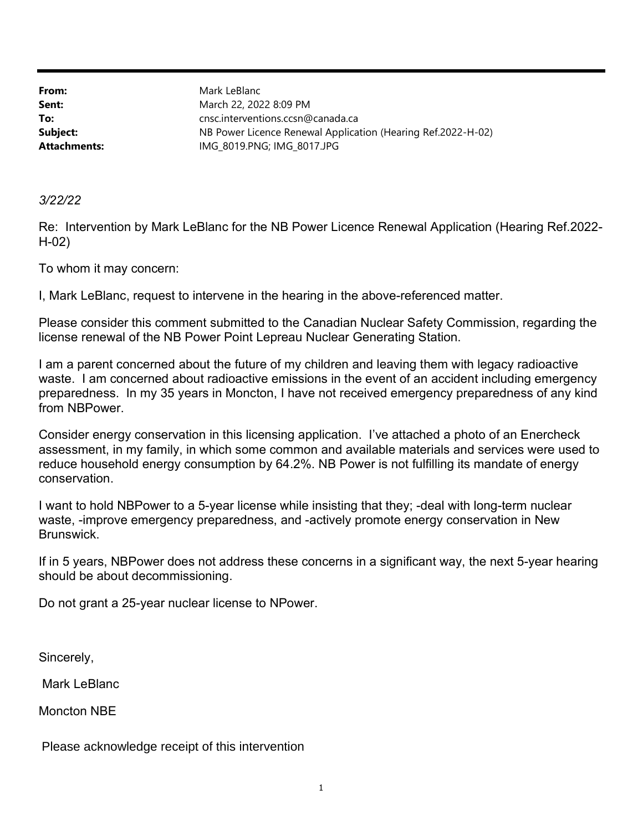From: Sent: To: Subject: Attachments: IMG\_8019.PNG; IMG\_8017.JPG NB Power Licence Renewal Application (Hearing Ref.2022-H-02) cnsc.interventions.ccsn@canada.ca March 22, 2022 8:09 PM Mark LeBlanc

3/22/22

Re: Intervention by Mark LeBlanc for the NB Power Licence Renewal Application (Hearing Ref.2022- H-02)

To whom it may concern:

I, Mark LeBlanc, request to intervene in the hearing in the above-referenced matter.

Please consider this comment submitted to the Canadian Nuclear Safety Commission, regarding the license renewal of the NB Power Point Lepreau Nuclear Generating Station.

I am a parent concerned about the future of my children and leaving them with legacy radioactive waste. I am concerned about radioactive emissions in the event of an accident including emergency preparedness. In my 35 years in Moncton, I have not received emergency preparedness of any kind from NBPower.

Consider energy conservation in this licensing application. I've attached a photo of an Enercheck assessment, in my family, in which some common and available materials and services were used to reduce household energy consumption by 64.2%. NB Power is not fulfilling its mandate of energy conservation.

I want to hold NBPower to a 5-year license while insisting that they; -deal with long-term nuclear waste, -improve emergency preparedness, and -actively promote energy conservation in New Brunswick.

If in 5 years, NBPower does not address these concerns in a significant way, the next 5-year hearing should be about decommissioning.

Do not grant a 25-year nuclear license to NPower.

Sincerely,

Mark LeBlanc

Moncton NBE

Please acknowledge receipt of this intervention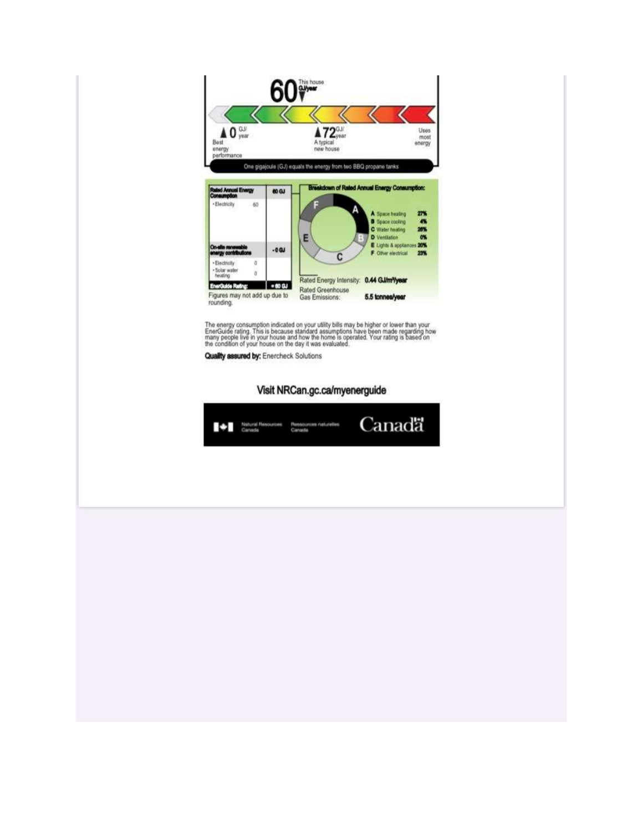